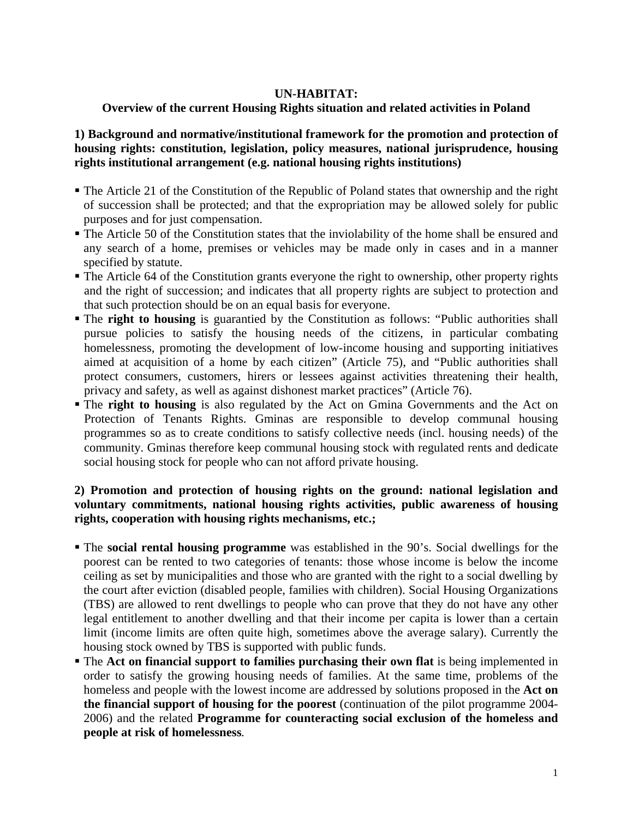#### **UN-HABITAT:**

# **Overview of the current Housing Rights situation and related activities in Poland**

**1) Background and normative/institutional framework for the promotion and protection of housing rights: constitution, legislation, policy measures, national jurisprudence, housing rights institutional arrangement (e.g. national housing rights institutions)** 

- The Article 21 of the Constitution of the Republic of Poland states that ownership and the right of succession shall be protected; and that the expropriation may be allowed solely for public purposes and for just compensation.
- The Article 50 of the Constitution states that the inviolability of the home shall be ensured and any search of a home, premises or vehicles may be made only in cases and in a manner specified by statute.
- The Article 64 of the Constitution grants everyone the right to ownership, other property rights and the right of succession; and indicates that all property rights are subject to protection and that such protection should be on an equal basis for everyone.
- The **right to housing** is guarantied by the Constitution as follows: "Public authorities shall pursue policies to satisfy the housing needs of the citizens, in particular combating homelessness, promoting the development of low-income housing and supporting initiatives aimed at acquisition of a home by each citizen" (Article 75), and "Public authorities shall protect consumers, customers, hirers or lessees against activities threatening their health, privacy and safety, as well as against dishonest market practices" (Article 76).
- **The right to housing** is also regulated by the Act on Gmina Governments and the Act on Protection of Tenants Rights. Gminas are responsible to develop communal housing programmes so as to create conditions to satisfy collective needs (incl. housing needs) of the community. Gminas therefore keep communal housing stock with regulated rents and dedicate social housing stock for people who can not afford private housing.

# **2) Promotion and protection of housing rights on the ground: national legislation and voluntary commitments, national housing rights activities, public awareness of housing rights, cooperation with housing rights mechanisms, etc.;**

- The **social rental housing programme** was established in the 90's. Social dwellings for the poorest can be rented to two categories of tenants: those whose income is below the income ceiling as set by municipalities and those who are granted with the right to a social dwelling by the court after eviction (disabled people, families with children). Social Housing Organizations (TBS) are allowed to rent dwellings to people who can prove that they do not have any other legal entitlement to another dwelling and that their income per capita is lower than a certain limit (income limits are often quite high, sometimes above the average salary). Currently the housing stock owned by TBS is supported with public funds.
- The **Act on financial support to families purchasing their own flat** is being implemented in order to satisfy the growing housing needs of families. At the same time, problems of the homeless and people with the lowest income are addressed by solutions proposed in the **Act on the financial support of housing for the poorest** (continuation of the pilot programme 2004- 2006) and the related **Programme for counteracting social exclusion of the homeless and people at risk of homelessness***.*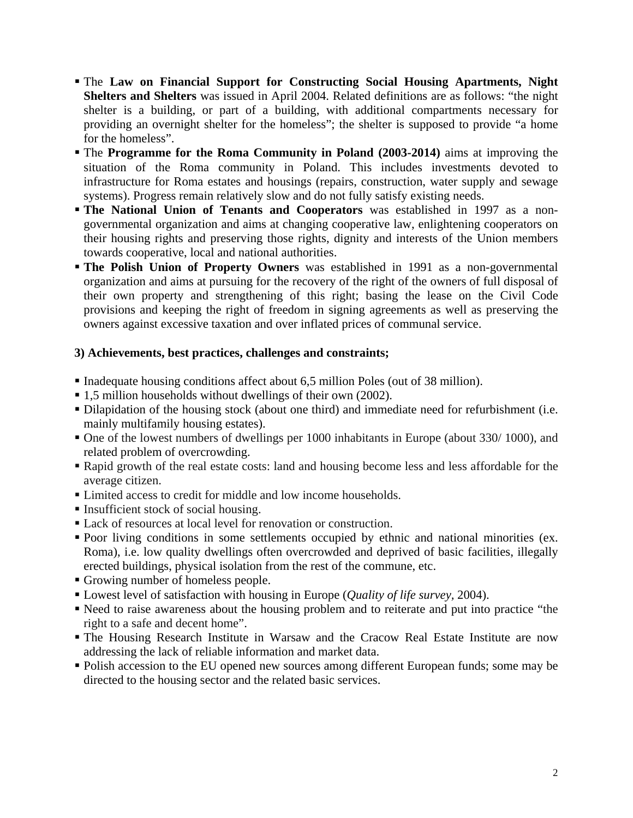- The **Law on Financial Support for Constructing Social Housing Apartments, Night Shelters and Shelters** was issued in April 2004. Related definitions are as follows: "the night shelter is a building, or part of a building, with additional compartments necessary for providing an overnight shelter for the homeless"; the shelter is supposed to provide "a home for the homeless".
- The **Programme for the Roma Community in Poland (2003-2014)** aims at improving the situation of the Roma community in Poland. This includes investments devoted to infrastructure for Roma estates and housings (repairs, construction, water supply and sewage systems). Progress remain relatively slow and do not fully satisfy existing needs.
- **The National Union of Tenants and Cooperators** was established in 1997 as a nongovernmental organization and aims at changing cooperative law, enlightening cooperators on their housing rights and preserving those rights, dignity and interests of the Union members towards cooperative, local and national authorities.
- **The Polish Union of Property Owners** was established in 1991 as a non-governmental organization and aims at pursuing for the recovery of the right of the owners of full disposal of their own property and strengthening of this right; basing the lease on the Civil Code provisions and keeping the right of freedom in signing agreements as well as preserving the owners against excessive taxation and over inflated prices of communal service.

# **3) Achievements, best practices, challenges and constraints;**

- Inadequate housing conditions affect about 6,5 million Poles (out of 38 million).
- 1,5 million households without dwellings of their own (2002).
- Dilapidation of the housing stock (about one third) and immediate need for refurbishment (i.e. mainly multifamily housing estates).
- One of the lowest numbers of dwellings per 1000 inhabitants in Europe (about 330/ 1000), and related problem of overcrowding.
- Rapid growth of the real estate costs: land and housing become less and less affordable for the average citizen.
- Limited access to credit for middle and low income households.
- Insufficient stock of social housing.
- Lack of resources at local level for renovation or construction.
- Poor living conditions in some settlements occupied by ethnic and national minorities (ex. Roma), i.e. low quality dwellings often overcrowded and deprived of basic facilities, illegally erected buildings, physical isolation from the rest of the commune, etc.
- Growing number of homeless people.
- Lowest level of satisfaction with housing in Europe (*Quality of life survey,* 2004).
- Need to raise awareness about the housing problem and to reiterate and put into practice "the right to a safe and decent home".
- The Housing Research Institute in Warsaw and the Cracow Real Estate Institute are now addressing the lack of reliable information and market data.
- Polish accession to the EU opened new sources among different European funds; some may be directed to the housing sector and the related basic services.